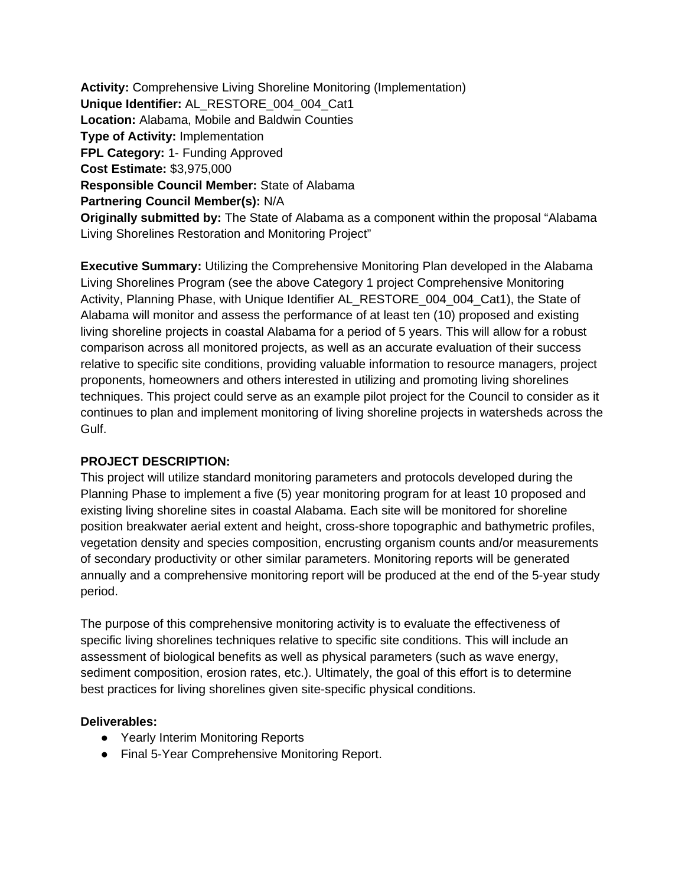**Activity:** Comprehensive Living Shoreline Monitoring (Implementation) **Unique Identifier:** AL\_RESTORE\_004\_004\_Cat1 **Location:** Alabama, Mobile and Baldwin Counties **Type of Activity:** Implementation **FPL Category:** 1- Funding Approved **Cost Estimate:** \$3,975,000 **Responsible Council Member:** State of Alabama **Partnering Council Member(s):** N/A **Originally submitted by:** The State of Alabama as a component within the proposal "Alabama Living Shorelines Restoration and Monitoring Project"

**Executive Summary:** Utilizing the Comprehensive Monitoring Plan developed in the Alabama Living Shorelines Program (see the above Category 1 project Comprehensive Monitoring Activity, Planning Phase, with Unique Identifier AL\_RESTORE\_004\_004\_Cat1), the State of Alabama will monitor and assess the performance of at least ten (10) proposed and existing living shoreline projects in coastal Alabama for a period of 5 years. This will allow for a robust comparison across all monitored projects, as well as an accurate evaluation of their success relative to specific site conditions, providing valuable information to resource managers, project proponents, homeowners and others interested in utilizing and promoting living shorelines techniques. This project could serve as an example pilot project for the Council to consider as it continues to plan and implement monitoring of living shoreline projects in watersheds across the Gulf.

### **PROJECT DESCRIPTION:**

This project will utilize standard monitoring parameters and protocols developed during the Planning Phase to implement a five (5) year monitoring program for at least 10 proposed and existing living shoreline sites in coastal Alabama. Each site will be monitored for shoreline position breakwater aerial extent and height, cross-shore topographic and bathymetric profiles, vegetation density and species composition, encrusting organism counts and/or measurements of secondary productivity or other similar parameters. Monitoring reports will be generated annually and a comprehensive monitoring report will be produced at the end of the 5-year study period.

The purpose of this comprehensive monitoring activity is to evaluate the effectiveness of specific living shorelines techniques relative to specific site conditions. This will include an assessment of biological benefits as well as physical parameters (such as wave energy, sediment composition, erosion rates, etc.). Ultimately, the goal of this effort is to determine best practices for living shorelines given site-specific physical conditions.

### **Deliverables:**

- Yearly Interim Monitoring Reports
- Final 5-Year Comprehensive Monitoring Report.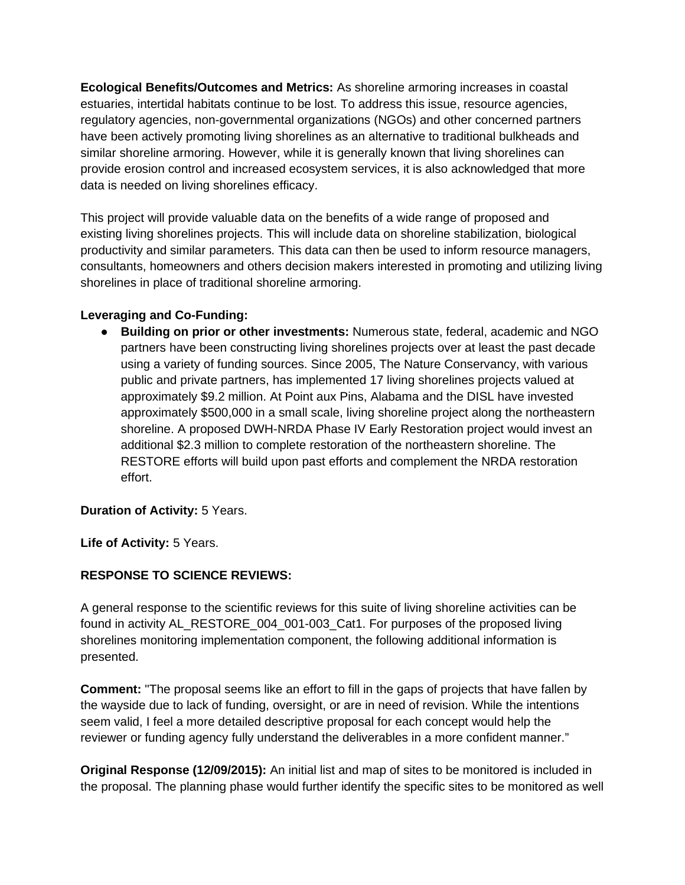**Ecological Benefits/Outcomes and Metrics:** As shoreline armoring increases in coastal estuaries, intertidal habitats continue to be lost. To address this issue, resource agencies, regulatory agencies, non-governmental organizations (NGOs) and other concerned partners have been actively promoting living shorelines as an alternative to traditional bulkheads and similar shoreline armoring. However, while it is generally known that living shorelines can provide erosion control and increased ecosystem services, it is also acknowledged that more data is needed on living shorelines efficacy.

This project will provide valuable data on the benefits of a wide range of proposed and existing living shorelines projects. This will include data on shoreline stabilization, biological productivity and similar parameters. This data can then be used to inform resource managers, consultants, homeowners and others decision makers interested in promoting and utilizing living shorelines in place of traditional shoreline armoring.

## **Leveraging and Co-Funding:**

● **Building on prior or other investments:** Numerous state, federal, academic and NGO partners have been constructing living shorelines projects over at least the past decade using a variety of funding sources. Since 2005, The Nature Conservancy, with various public and private partners, has implemented 17 living shorelines projects valued at approximately \$9.2 million. At Point aux Pins, Alabama and the DISL have invested approximately \$500,000 in a small scale, living shoreline project along the northeastern shoreline. A proposed DWH-NRDA Phase IV Early Restoration project would invest an additional \$2.3 million to complete restoration of the northeastern shoreline. The RESTORE efforts will build upon past efforts and complement the NRDA restoration effort.

# **Duration of Activity:** 5 Years.

**Life of Activity:** 5 Years.

# **RESPONSE TO SCIENCE REVIEWS:**

A general response to the scientific reviews for this suite of living shoreline activities can be found in activity AL\_RESTORE\_004\_001-003\_Cat1. For purposes of the proposed living shorelines monitoring implementation component, the following additional information is presented.

**Comment:** "The proposal seems like an effort to fill in the gaps of projects that have fallen by the wayside due to lack of funding, oversight, or are in need of revision. While the intentions seem valid, I feel a more detailed descriptive proposal for each concept would help the reviewer or funding agency fully understand the deliverables in a more confident manner."

**Original Response (12/09/2015):** An initial list and map of sites to be monitored is included in the proposal. The planning phase would further identify the specific sites to be monitored as well